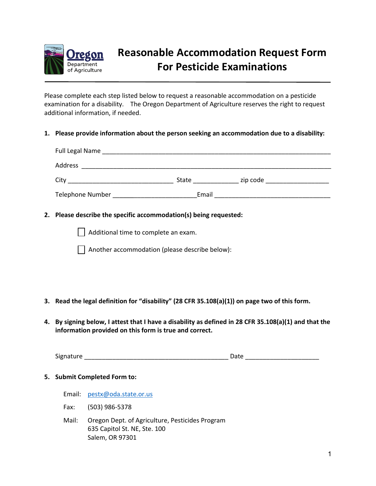

# **Reasonable Accommodation Request Form For Pesticide Examinations**

Please complete each step listed below to request a reasonable accommodation on a pesticide examination for a disability. The Oregon Department of Agriculture reserves the right to request additional information, if needed.

#### **1. Please provide information about the person seeking an accommodation due to a disability:**

| Full Legal Name<br><u> 1980 - Johann Stein, mars et al. 1980 - Anna ann an t-Amhair ann an t-Amhair ann an t-Amhair ann an t-Amhair a</u> |       |          |
|-------------------------------------------------------------------------------------------------------------------------------------------|-------|----------|
| Address                                                                                                                                   |       |          |
| City                                                                                                                                      | State | zip code |
| <b>Telephone Number</b>                                                                                                                   | Email |          |

#### **2. Please describe the specific accommodation(s) being requested:**

Additional time to complete an exam.

Another accommodation (please describe below):

- **3. Read the legal definition for "disability" (28 CFR 35.108(a)(1)) on page two of this form.**
- **4. By signing below, I attest that I have a disability as defined in 28 CFR 35.108(a)(1) and that the information provided on this form is true and correct.**

Signature \_\_\_\_\_\_\_\_\_\_\_\_\_\_\_\_\_\_\_\_\_\_\_\_\_\_\_\_\_\_\_\_\_\_\_\_\_\_\_\_\_ Date \_\_\_\_\_\_\_\_\_\_\_\_\_\_\_\_\_\_\_\_\_

#### **5. Submit Completed Form to:**

- Email: pestx@oda.state.or.us
- Fax: (503) 986-5378
- Mail: Oregon Dept. of Agriculture, Pesticides Program 635 Capitol St. NE, Ste. 100 Salem, OR 97301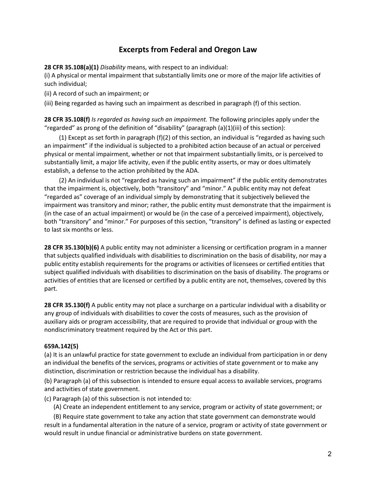## **Excerpts from Federal and Oregon Law**

**28 CFR 35.108(a)(1)** *Disability* means, with respect to an individual:

(i) A physical or mental impairment that substantially limits one or more of the major life activities of such individual;

(ii) A record of such an impairment; or

(iii) Being regarded as having such an impairment as described in paragraph (f) of this section.

**28 CFR 35.108(f)** *Is regarded as having such an impairment.* The following principles apply under the "regarded" as prong of the definition of "disability" (paragraph (a)(1)(iii) of this section):

(1) Except as set forth in paragraph (f)(2) of this section, an individual is "regarded as having such an impairment" if the individual is subjected to a prohibited action because of an actual or perceived physical or mental impairment, whether or not that impairment substantially limits, or is perceived to substantially limit, a major life activity, even if the public entity asserts, or may or does ultimately establish, a defense to the action prohibited by the ADA.

(2) An individual is not "regarded as having such an impairment" if the public entity demonstrates that the impairment is, objectively, both "transitory" and "minor." A public entity may not defeat "regarded as" coverage of an individual simply by demonstrating that it subjectively believed the impairment was transitory and minor; rather, the public entity must demonstrate that the impairment is (in the case of an actual impairment) or would be (in the case of a perceived impairment), objectively, both "transitory" and "minor." For purposes of this section, "transitory" is defined as lasting or expected to last six months or less.

**28 CFR 35.130(b)(6)** A public entity may not administer a licensing or certification program in a manner that subjects qualified individuals with disabilities to discrimination on the basis of disability, nor may a public entity establish requirements for the programs or activities of licensees or certified entities that subject qualified individuals with disabilities to discrimination on the basis of disability. The programs or activities of entities that are licensed or certified by a public entity are not, themselves, covered by this part.

**28 CFR 35.130(f)** A public entity may not place a surcharge on a particular individual with a disability or any group of individuals with disabilities to cover the costs of measures, such as the provision of auxiliary aids or program accessibility, that are required to provide that individual or group with the nondiscriminatory treatment required by the Act or this part.

### **659A.142(5)**

(a) It is an unlawful practice for state government to exclude an individual from participation in or deny an individual the benefits of the services, programs or activities of state government or to make any distinction, discrimination or restriction because the individual has a disability.

(b) Paragraph (a) of this subsection is intended to ensure equal access to available services, programs and activities of state government.

(c) Paragraph (a) of this subsection is not intended to:

(A) Create an independent entitlement to any service, program or activity of state government; or

 (B) Require state government to take any action that state government can demonstrate would result in a fundamental alteration in the nature of a service, program or activity of state government or would result in undue financial or administrative burdens on state government.